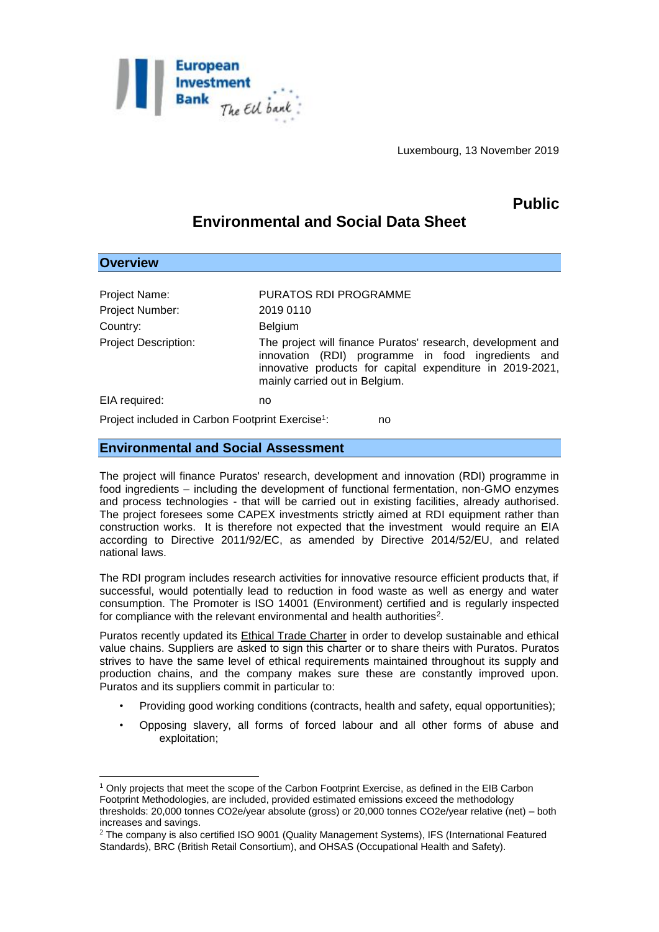

Luxembourg, 13 November 2019

# **Public**

# **Environmental and Social Data Sheet**

| <b>Overview</b>                                              |                                                                                                                                                                                                                  |
|--------------------------------------------------------------|------------------------------------------------------------------------------------------------------------------------------------------------------------------------------------------------------------------|
|                                                              |                                                                                                                                                                                                                  |
| Project Name:                                                | PURATOS RDI PROGRAMME                                                                                                                                                                                            |
| Project Number:                                              | 2019 0110                                                                                                                                                                                                        |
| Country:                                                     | <b>Belgium</b>                                                                                                                                                                                                   |
| <b>Project Description:</b>                                  | The project will finance Puratos' research, development and<br>innovation (RDI) programme in food ingredients and<br>innovative products for capital expenditure in 2019-2021,<br>mainly carried out in Belgium. |
| EIA required:                                                | no                                                                                                                                                                                                               |
| Project included in Carbon Footprint Exercise <sup>1</sup> : | no                                                                                                                                                                                                               |

## **Environmental and Social Assessment**

<u>.</u>

The project will finance Puratos' research, development and innovation (RDI) programme in food ingredients – including the development of functional fermentation, non-GMO enzymes and process technologies - that will be carried out in existing facilities, already authorised. The project foresees some CAPEX investments strictly aimed at RDI equipment rather than construction works. It is therefore not expected that the investment would require an EIA according to Directive 2011/92/EC, as amended by Directive 2014/52/EU, and related national laws.

The RDI program includes research activities for innovative resource efficient products that, if successful, would potentially lead to reduction in food waste as well as energy and water consumption. The Promoter is ISO 14001 (Environment) certified and is regularly inspected for compliance with the relevant environmental and health authorities<sup>2</sup>.

Puratos recently updated its Ethical Trade Charter in order to develop sustainable and ethical value chains. Suppliers are asked to sign this charter or to share theirs with Puratos. Puratos strives to have the same level of ethical requirements maintained throughout its supply and production chains, and the company makes sure these are constantly improved upon. Puratos and its suppliers commit in particular to:

- Providing good working conditions (contracts, health and safety, equal opportunities);
- Opposing slavery, all forms of forced labour and all other forms of abuse and exploitation;

<sup>1</sup> Only projects that meet the scope of the Carbon Footprint Exercise, as defined in the EIB Carbon Footprint Methodologies, are included, provided estimated emissions exceed the methodology thresholds: 20,000 tonnes CO2e/year absolute (gross) or 20,000 tonnes CO2e/year relative (net) – both increases and savings.

<sup>&</sup>lt;sup>2</sup> The company is also certified ISO 9001 (Quality Management Systems), IFS (International Featured Standards), BRC (British Retail Consortium), and OHSAS (Occupational Health and Safety).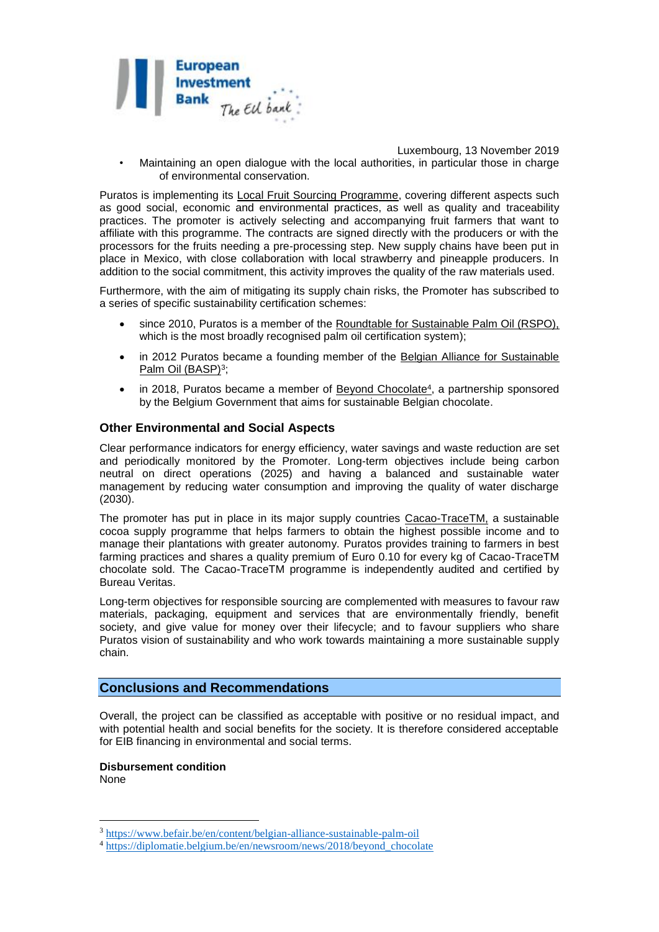

Luxembourg, 13 November 2019

• Maintaining an open dialogue with the local authorities, in particular those in charge of environmental conservation.

Puratos is implementing its Local Fruit Sourcing Programme, covering different aspects such as good social, economic and environmental practices, as well as quality and traceability practices. The promoter is actively selecting and accompanying fruit farmers that want to affiliate with this programme. The contracts are signed directly with the producers or with the processors for the fruits needing a pre-processing step. New supply chains have been put in place in Mexico, with close collaboration with local strawberry and pineapple producers. In addition to the social commitment, this activity improves the quality of the raw materials used.

Furthermore, with the aim of mitigating its supply chain risks, the Promoter has subscribed to a series of specific sustainability certification schemes:

- since 2010, Puratos is a member of the Roundtable for Sustainable Palm Oil (RSPO), which is the most broadly recognised palm oil certification system);
- in 2012 Puratos became a founding member of the Belgian Alliance for Sustainable Palm Oil (BASP)<sup>3</sup>;
- in 2018, Puratos became a member of Beyond Chocolate<sup>4</sup>, a partnership sponsored by the Belgium Government that aims for sustainable Belgian chocolate.

#### **Other Environmental and Social Aspects**

Clear performance indicators for energy efficiency, water savings and waste reduction are set and periodically monitored by the Promoter. Long-term objectives include being carbon neutral on direct operations (2025) and having a balanced and sustainable water management by reducing water consumption and improving the quality of water discharge (2030).

The promoter has put in place in its major supply countries Cacao-TraceTM, a sustainable cocoa supply programme that helps farmers to obtain the highest possible income and to manage their plantations with greater autonomy. Puratos provides training to farmers in best farming practices and shares a quality premium of Euro 0.10 for every kg of Cacao-TraceTM chocolate sold. The Cacao-TraceTM programme is independently audited and certified by Bureau Veritas.

Long-term objectives for responsible sourcing are complemented with measures to favour raw materials, packaging, equipment and services that are environmentally friendly, benefit society, and give value for money over their lifecycle; and to favour suppliers who share Puratos vision of sustainability and who work towards maintaining a more sustainable supply chain.

### **Conclusions and Recommendations**

Overall, the project can be classified as acceptable with positive or no residual impact, and with potential health and social benefits for the society. It is therefore considered acceptable for EIB financing in environmental and social terms.

**Disbursement condition** None

1

<sup>3</sup> <https://www.befair.be/en/content/belgian-alliance-sustainable-palm-oil>

<sup>&</sup>lt;sup>4</sup> [https://diplomatie.belgium.be/en/newsroom/news/2018/beyond\\_chocolate](https://diplomatie.belgium.be/en/newsroom/news/2018/beyond_chocolate)